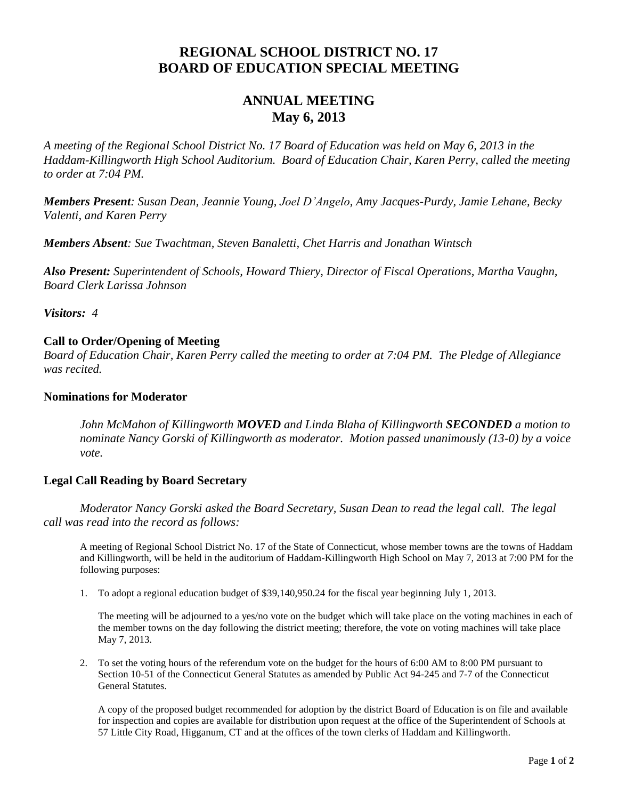# **REGIONAL SCHOOL DISTRICT NO. 17 BOARD OF EDUCATION SPECIAL MEETING**

# **ANNUAL MEETING May 6, 2013**

*A meeting of the Regional School District No. 17 Board of Education was held on May 6, 2013 in the Haddam-Killingworth High School Auditorium. Board of Education Chair, Karen Perry, called the meeting to order at 7:04 PM.*

*Members Present: Susan Dean, Jeannie Young, Joel D'Angelo, Amy Jacques-Purdy, Jamie Lehane, Becky Valenti, and Karen Perry*

*Members Absent: Sue Twachtman, Steven Banaletti, Chet Harris and Jonathan Wintsch*

*Also Present: Superintendent of Schools, Howard Thiery, Director of Fiscal Operations, Martha Vaughn, Board Clerk Larissa Johnson*

*Visitors: 4*

## **Call to Order/Opening of Meeting**

*Board of Education Chair, Karen Perry called the meeting to order at 7:04 PM. The Pledge of Allegiance was recited.*

### **Nominations for Moderator**

*John McMahon of Killingworth MOVED and Linda Blaha of Killingworth SECONDED a motion to nominate Nancy Gorski of Killingworth as moderator. Motion passed unanimously (13-0) by a voice vote.*

### **Legal Call Reading by Board Secretary**

*Moderator Nancy Gorski asked the Board Secretary, Susan Dean to read the legal call. The legal call was read into the record as follows:*

A meeting of Regional School District No. 17 of the State of Connecticut, whose member towns are the towns of Haddam and Killingworth, will be held in the auditorium of Haddam-Killingworth High School on May 7, 2013 at 7:00 PM for the following purposes:

1. To adopt a regional education budget of \$39,140,950.24 for the fiscal year beginning July 1, 2013.

The meeting will be adjourned to a yes/no vote on the budget which will take place on the voting machines in each of the member towns on the day following the district meeting; therefore, the vote on voting machines will take place May 7, 2013.

2. To set the voting hours of the referendum vote on the budget for the hours of 6:00 AM to 8:00 PM pursuant to Section 10-51 of the Connecticut General Statutes as amended by Public Act 94-245 and 7-7 of the Connecticut General Statutes.

A copy of the proposed budget recommended for adoption by the district Board of Education is on file and available for inspection and copies are available for distribution upon request at the office of the Superintendent of Schools at 57 Little City Road, Higganum, CT and at the offices of the town clerks of Haddam and Killingworth.